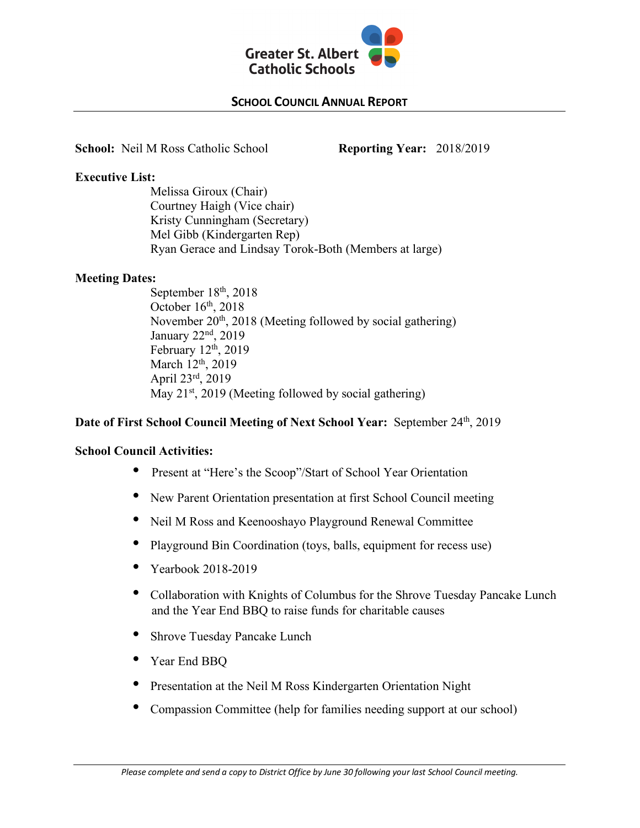

# **SCHOOL COUNCIL ANNUAL REPORT**

**School:** Neil M Ross Catholic School **Reporting Year:** 2018/2019

**Executive List:**

Melissa Giroux (Chair) Courtney Haigh (Vice chair) Kristy Cunningham (Secretary) Mel Gibb (Kindergarten Rep) Ryan Gerace and Lindsay Torok-Both (Members at large)

## **Meeting Dates:**

September 18<sup>th</sup>, 2018 October  $16<sup>th</sup>$ , 2018 November 20<sup>th</sup>, 2018 (Meeting followed by social gathering) January 22nd, 2019 February  $12<sup>th</sup>$ , 2019 March 12<sup>th</sup>, 2019 April 23rd, 2019 May  $21^{st}$ , 2019 (Meeting followed by social gathering)

## **Date of First School Council Meeting of Next School Year:** September 24<sup>th</sup>, 2019

### **School Council Activities:**

- Present at "Here's the Scoop"/Start of School Year Orientation
- New Parent Orientation presentation at first School Council meeting
- Neil M Ross and Keenooshayo Playground Renewal Committee
- Playground Bin Coordination (toys, balls, equipment for recess use)
- Yearbook 2018-2019
- Collaboration with Knights of Columbus for the Shrove Tuesday Pancake Lunch and the Year End BBQ to raise funds for charitable causes
- Shrove Tuesday Pancake Lunch
- Year End BBQ
- Presentation at the Neil M Ross Kindergarten Orientation Night
- Compassion Committee (help for families needing support at our school)